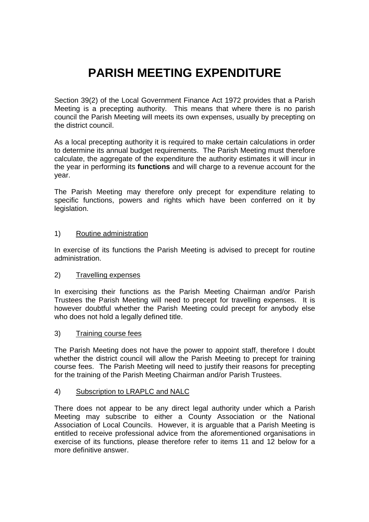# **PARISH MEETING EXPENDITURE**

Section 39(2) of the Local Government Finance Act 1972 provides that a Parish Meeting is a precepting authority. This means that where there is no parish council the Parish Meeting will meets its own expenses, usually by precepting on the district council.

As a local precepting authority it is required to make certain calculations in order to determine its annual budget requirements. The Parish Meeting must therefore calculate, the aggregate of the expenditure the authority estimates it will incur in the year in performing its **functions** and will charge to a revenue account for the year.

The Parish Meeting may therefore only precept for expenditure relating to specific functions, powers and rights which have been conferred on it by legislation.

#### 1) Routine administration

In exercise of its functions the Parish Meeting is advised to precept for routine administration.

### 2) Travelling expenses

In exercising their functions as the Parish Meeting Chairman and/or Parish Trustees the Parish Meeting will need to precept for travelling expenses. It is however doubtful whether the Parish Meeting could precept for anybody else who does not hold a legally defined title.

#### 3) Training course fees

The Parish Meeting does not have the power to appoint staff, therefore I doubt whether the district council will allow the Parish Meeting to precept for training course fees. The Parish Meeting will need to justify their reasons for precepting for the training of the Parish Meeting Chairman and/or Parish Trustees.

#### 4) Subscription to LRAPLC and NALC

There does not appear to be any direct legal authority under which a Parish Meeting may subscribe to either a County Association or the National Association of Local Councils. However, it is arguable that a Parish Meeting is entitled to receive professional advice from the aforementioned organisations in exercise of its functions, please therefore refer to items 11 and 12 below for a more definitive answer.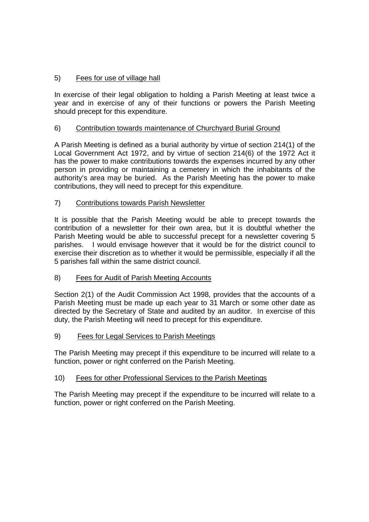# 5) Fees for use of village hall

In exercise of their legal obligation to holding a Parish Meeting at least twice a year and in exercise of any of their functions or powers the Parish Meeting should precept for this expenditure.

# 6) Contribution towards maintenance of Churchyard Burial Ground

A Parish Meeting is defined as a burial authority by virtue of section 214(1) of the Local Government Act 1972, and by virtue of section 214(6) of the 1972 Act it has the power to make contributions towards the expenses incurred by any other person in providing or maintaining a cemetery in which the inhabitants of the authority's area may be buried. As the Parish Meeting has the power to make contributions, they will need to precept for this expenditure.

### 7) Contributions towards Parish Newsletter

It is possible that the Parish Meeting would be able to precept towards the contribution of a newsletter for their own area, but it is doubtful whether the Parish Meeting would be able to successful precept for a newsletter covering 5 parishes. I would envisage however that it would be for the district council to exercise their discretion as to whether it would be permissible, especially if all the 5 parishes fall within the same district council.

### 8) Fees for Audit of Parish Meeting Accounts

Section 2(1) of the Audit Commission Act 1998, provides that the accounts of a Parish Meeting must be made up each year to 31 March or some other date as directed by the Secretary of State and audited by an auditor. In exercise of this duty, the Parish Meeting will need to precept for this expenditure.

### 9) Fees for Legal Services to Parish Meetings

The Parish Meeting may precept if this expenditure to be incurred will relate to a function, power or right conferred on the Parish Meeting.

### 10) Fees for other Professional Services to the Parish Meetings

The Parish Meeting may precept if the expenditure to be incurred will relate to a function, power or right conferred on the Parish Meeting.